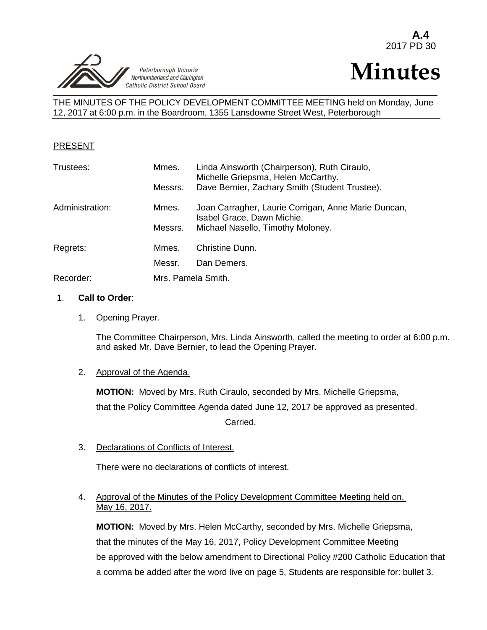

# **Minutes**

THE MINUTES OF THE POLICY DEVELOPMENT COMMITTEE MEETING held on Monday, June 12, 2017 at 6:00 p.m. in the Boardroom, 1355 Lansdowne Street West, Peterborough

## PRESENT

| Trustees:       | Mmes.<br>Messrs. | Linda Ainsworth (Chairperson), Ruth Ciraulo,<br>Michelle Griepsma, Helen McCarthy.<br>Dave Bernier, Zachary Smith (Student Trustee). |  |
|-----------------|------------------|--------------------------------------------------------------------------------------------------------------------------------------|--|
| Administration: | Mmes.            | Joan Carragher, Laurie Corrigan, Anne Marie Duncan,<br>Isabel Grace, Dawn Michie.                                                    |  |
|                 | Messrs.          | Michael Nasello, Timothy Moloney.                                                                                                    |  |
| Regrets:        | Mmes.            | Christine Dunn.                                                                                                                      |  |
|                 | Messr.           | Dan Demers.                                                                                                                          |  |
| Recorder:       |                  | Mrs. Pamela Smith.                                                                                                                   |  |

#### 1. **Call to Order**:

1. Opening Prayer.

The Committee Chairperson, Mrs. Linda Ainsworth, called the meeting to order at 6:00 p.m. and asked Mr. Dave Bernier, to lead the Opening Prayer.

#### 2. Approval of the Agenda.

**MOTION:** Moved by Mrs. Ruth Ciraulo, seconded by Mrs. Michelle Griepsma,

that the Policy Committee Agenda dated June 12, 2017 be approved as presented.

Carried.

3. Declarations of Conflicts of Interest.

There were no declarations of conflicts of interest.

## 4. Approval of the Minutes of the Policy Development Committee Meeting held on, May 16, 2017.

**MOTION:** Moved by Mrs. Helen McCarthy, seconded by Mrs. Michelle Griepsma, that the minutes of the May 16, 2017, Policy Development Committee Meeting be approved with the below amendment to Directional Policy #200 Catholic Education that a comma be added after the word live on page 5, Students are responsible for: bullet 3.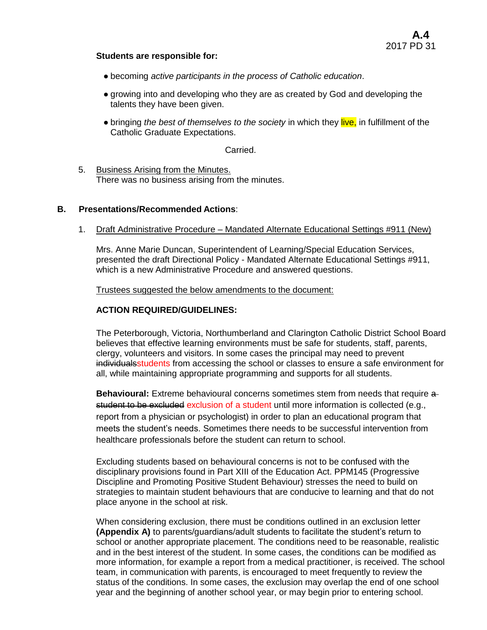#### **Students are responsible for:**

- becoming *active participants in the process of Catholic education*.
- growing into and developing who they are as created by God and developing the talents they have been given.
- bringing *the best of themselves to the society* in which they live, in fulfillment of the Catholic Graduate Expectations.

#### Carried.

5. Business Arising from the Minutes. There was no business arising from the minutes.

#### **B. Presentations/Recommended Actions**:

1. Draft Administrative Procedure – Mandated Alternate Educational Settings #911 (New)

Mrs. Anne Marie Duncan, Superintendent of Learning/Special Education Services, presented the draft Directional Policy - Mandated Alternate Educational Settings #911, which is a new Administrative Procedure and answered questions.

Trustees suggested the below amendments to the document:

#### **ACTION REQUIRED/GUIDELINES:**

The Peterborough, Victoria, Northumberland and Clarington Catholic District School Board believes that effective learning environments must be safe for students, staff, parents, clergy, volunteers and visitors. In some cases the principal may need to prevent individual students from accessing the school or classes to ensure a safe environment for all, while maintaining appropriate programming and supports for all students.

**Behavioural:** Extreme behavioural concerns sometimes stem from needs that require a student to be excluded exclusion of a student until more information is collected (e.g., report from a physician or psychologist) in order to plan an educational program that meets the student's needs. Sometimes there needs to be successful intervention from healthcare professionals before the student can return to school.

Excluding students based on behavioural concerns is not to be confused with the disciplinary provisions found in Part XIII of the Education Act. PPM145 (Progressive Discipline and Promoting Positive Student Behaviour) stresses the need to build on strategies to maintain student behaviours that are conducive to learning and that do not place anyone in the school at risk.

When considering exclusion, there must be conditions outlined in an exclusion letter **(Appendix A)** to parents/guardians/adult students to facilitate the student's return to school or another appropriate placement. The conditions need to be reasonable, realistic and in the best interest of the student. In some cases, the conditions can be modified as more information, for example a report from a medical practitioner, is received. The school team, in communication with parents, is encouraged to meet frequently to review the status of the conditions. In some cases, the exclusion may overlap the end of one school year and the beginning of another school year, or may begin prior to entering school.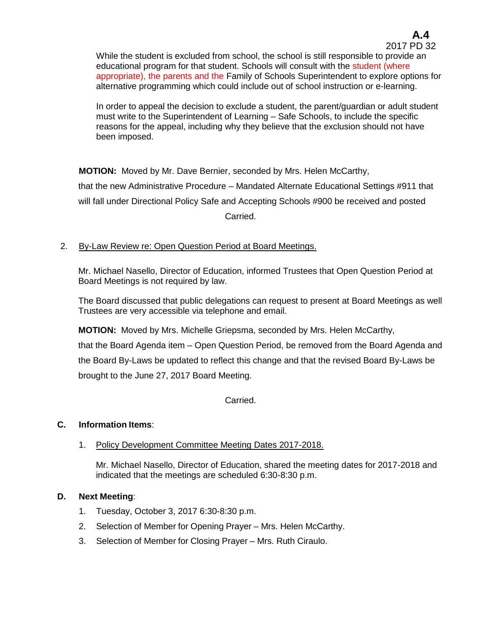In order to appeal the decision to exclude a student, the parent/guardian or adult student must write to the Superintendent of Learning – Safe Schools, to include the specific reasons for the appeal, including why they believe that the exclusion should not have been imposed.

**MOTION:** Moved by Mr. Dave Bernier, seconded by Mrs. Helen McCarthy, that the new Administrative Procedure – Mandated Alternate Educational Settings #911 that will fall under Directional Policy Safe and Accepting Schools #900 be received and posted Carried.

# 2. By-Law Review re: Open Question Period at Board Meetings.

Mr. Michael Nasello, Director of Education, informed Trustees that Open Question Period at Board Meetings is not required by law.

The Board discussed that public delegations can request to present at Board Meetings as well Trustees are very accessible via telephone and email.

**MOTION:** Moved by Mrs. Michelle Griepsma, seconded by Mrs. Helen McCarthy,

that the Board Agenda item – Open Question Period, be removed from the Board Agenda and the Board By-Laws be updated to reflect this change and that the revised Board By-Laws be brought to the June 27, 2017 Board Meeting.

Carried.

# **C. Information Items**:

1. Policy Development Committee Meeting Dates 2017-2018.

Mr. Michael Nasello, Director of Education, shared the meeting dates for 2017-2018 and indicated that the meetings are scheduled 6:30-8:30 p.m.

# **D. Next Meeting**:

- 1. Tuesday, October 3, 2017 6:30-8:30 p.m.
- 2. Selection of Member for Opening Prayer Mrs. Helen McCarthy.
- 3. Selection of Member for Closing Prayer Mrs. Ruth Ciraulo.